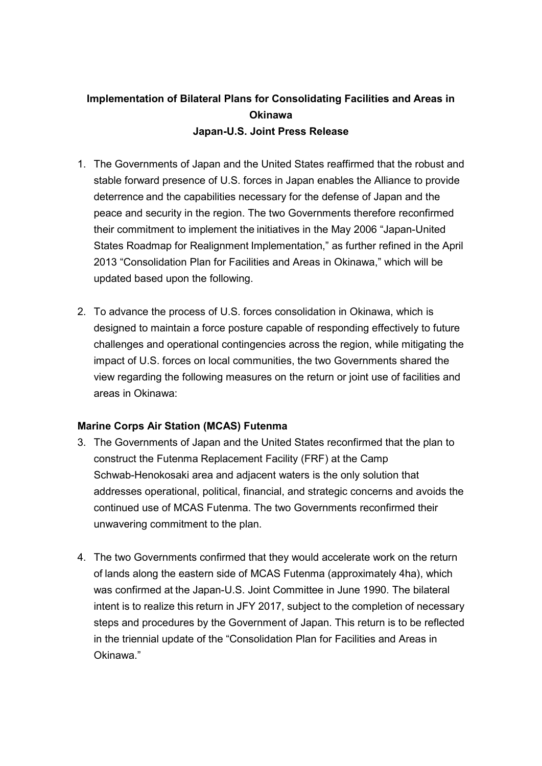# **Implementation of Bilateral Plans for Consolidating Facilities and Areas in Okinawa Japan-U.S. Joint Press Release**

- 1. The Governments of Japan and the United States reaffirmed that the robust and stable forward presence of U.S. forces in Japan enables the Alliance to provide deterrence and the capabilities necessary for the defense of Japan and the peace and security in the region. The two Governments therefore reconfirmed their commitment to implement the initiatives in the May 2006 "Japan-United States Roadmap for Realignment Implementation," as further refined in the April 2013 "Consolidation Plan for Facilities and Areas in Okinawa," which will be updated based upon the following.
- 2. To advance the process of U.S. forces consolidation in Okinawa, which is designed to maintain a force posture capable of responding effectively to future challenges and operational contingencies across the region, while mitigating the impact of U.S. forces on local communities, the two Governments shared the view regarding the following measures on the return or joint use of facilities and areas in Okinawa:

## **Marine Corps Air Station (MCAS) Futenma**

- 3. The Governments of Japan and the United States reconfirmed that the plan to construct the Futenma Replacement Facility (FRF) at the Camp Schwab-Henokosaki area and adjacent waters is the only solution that addresses operational, political, financial, and strategic concerns and avoids the continued use of MCAS Futenma. The two Governments reconfirmed their unwavering commitment to the plan.
- 4. The two Governments confirmed that they would accelerate work on the return of lands along the eastern side of MCAS Futenma (approximately 4ha), which was confirmed at the Japan-U.S. Joint Committee in June 1990. The bilateral intent is to realize this return in JFY 2017, subject to the completion of necessary steps and procedures by the Government of Japan. This return is to be reflected in the triennial update of the "Consolidation Plan for Facilities and Areas in Okinawa."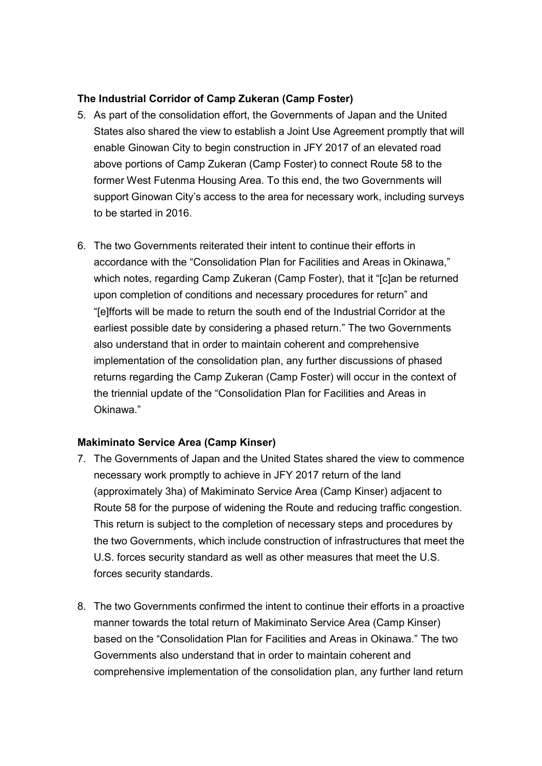#### **The Industrial Corridor of Camp Zukeran (Camp Foster)**

- 5. As part of the consolidation effort, the Governments of Japan and the United States also shared the view to establish a Joint Use Agreement promptly that will enable Ginowan City to begin construction in JFY 2017 of an elevated road above portions of Camp Zukeran (Camp Foster) to connect Route 58 to the former West Futenma Housing Area. To this end, the two Governments will support Ginowan City's access to the area for necessary work, including surveys to be started in 2016.
- 6. The two Governments reiterated their intent to continue their efforts in accordance with the "Consolidation Plan for Facilities and Areas in Okinawa," which notes, regarding Camp Zukeran (Camp Foster), that it "[c]an be returned upon completion of conditions and necessary procedures for return" and "[e]fforts will be made to return the south end of the Industrial Corridor at the earliest possible date by considering a phased return." The two Governments also understand that in order to maintain coherent and comprehensive implementation of the consolidation plan, any further discussions of phased returns regarding the Camp Zukeran (Camp Foster) will occur in the context of the triennial update of the "Consolidation Plan for Facilities and Areas in Okinawa."

#### **Makiminato Service Area (Camp Kinser)**

- 7. The Governments of Japan and the United States shared the view to commence necessary work promptly to achieve in JFY 2017 return of the land (approximately 3ha) of Makiminato Service Area (Camp Kinser) adjacent to Route 58 for the purpose of widening the Route and reducing traffic congestion. This return is subject to the completion of necessary steps and procedures by the two Governments, which include construction of infrastructures that meet the U.S. forces security standard as well as other measures that meet the U.S. forces security standards.
- 8. The two Governments confirmed the intent to continue their efforts in a proactive manner towards the total return of Makiminato Service Area (Camp Kinser) based on the "Consolidation Plan for Facilities and Areas in Okinawa." The two Governments also understand that in order to maintain coherent and comprehensive implementation of the consolidation plan, any further land return